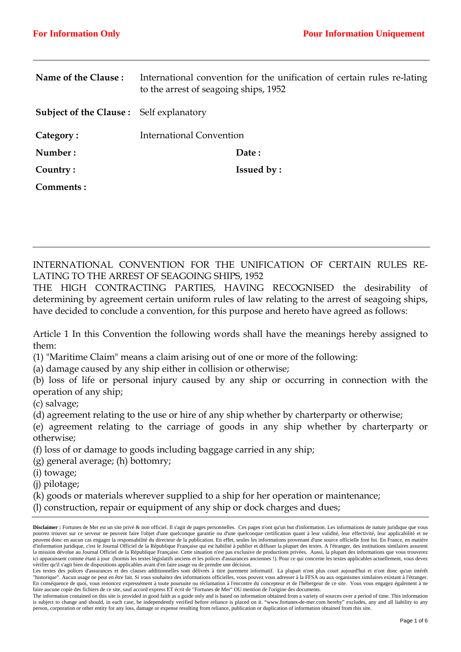| Name of the Clause:                            | International convention for the unification of certain rules re-lating<br>to the arrest of seagoing ships, 1952 |
|------------------------------------------------|------------------------------------------------------------------------------------------------------------------|
| <b>Subject of the Clause:</b> Self explanatory |                                                                                                                  |
| Category:                                      | <b>International Convention</b>                                                                                  |
| Number:                                        | Date:                                                                                                            |
| Country:                                       | <b>Issued by:</b>                                                                                                |
| Comments:                                      |                                                                                                                  |

INTERNATIONAL CONVENTION FOR THE UNIFICATION OF CERTAIN RULES RE-LATING TO THE ARREST OF SEAGOING SHIPS, 1952

THE HIGH CONTRACTING PARTIES, HAVING RECOGNISED the desirability of determining by agreement certain uniform rules of law relating to the arrest of seagoing ships, have decided to conclude a convention, for this purpose and hereto have agreed as follows:

Article 1 In this Convention the following words shall have the meanings hereby assigned to them:

- (1) "Maritime Claim" means a claim arising out of one or more of the following:
- (a) damage caused by any ship either in collision or otherwise;
- (b) loss of life or personal injury caused by any ship or occurring in connection with the operation of any ship;
- (c) salvage;
- (d) agreement relating to the use or hire of any ship whether by charterparty or otherwise;

(e) agreement relating to the carriage of goods in any ship whether by charterparty or otherwise;

- (f) loss of or damage to goods including baggage carried in any ship;
- (g) general average; (h) bottomry;
- (i) towage;

(j) pilotage;

- (k) goods or materials wherever supplied to a ship for her operation or maintenance;
- (l) construction, repair or equipment of any ship or dock charges and dues;

**Disclaimer :** Fortunes de Mer est un site privé & non officiel. Il s'agit de pages personnelles. Ces pages n'ont qu'un but d'information. Les informations de nature juridique que vous pourrez trouver sur ce serveur ne peuvent faire l'objet d'une quelconque garantie ou d'une quelconque certification quant à leur validité, leur effectivité, leur applicabilité et ne peuvent donc en aucun cas engager la responsabilité du directeur de la publication. En effet, seules les informations provenant d'une source officielle font foi. En France, en matière d'information juridique, c'est le Journal Officiel de la République Française qui est habilité à publier et diffuser la plupart des textes. A l'étranger, des institutions similaires assurent la mission dévolue au Journal Officiel de la République Française. Cette situation n'est pas exclusive de productions privées. Aussi, la plupart des informations que vous trouverez ici apparaissent comme étant à jour (hormis les textes législatifs anciens et les polices d'assurances anciennes !). Pour ce qui concerne les textes applicables actuellement, vous devez vérifier qu'il s'agit bien de dispositions applicables avant d'en faire usage ou de prendre une décision.

Les textes des polices d'assurances et des clauses additionnelles sont délivrés à titre purement informatif. La plupart n'ont plus court aujourd'hui et n'ont donc qu'un intérêt "historique". Aucun usage ne peut en être fait. Si vous souhaitez des informations officielles, vous pouvez vous adresser à la FFSA ou aux organismes similaires existant à l'étranger. En conséquence de quoi, vous renoncez expressément à toute poursuite ou réclamation à l'encontre du concepteur et de l'hébergeur de ce site. Vous vous engagez également à ne faire aucune copie des fichiers de ce site, sauf accord express ET écrit de "Fortunes de Mer" OU mention de l'origine des documents.

The information contained on this site is provided in good faith as a guide only and is based on information obtained from a variety of sources over a period of time. This information is subject to change and should, in each case, be independently verified before reliance is placed on it. "www.fortunes-de-mer.com hereby" excludes, any and all liability to any person, corporation or other entity for any loss, damage or expense resulting from reliance, publication or duplication of information obtained from this site.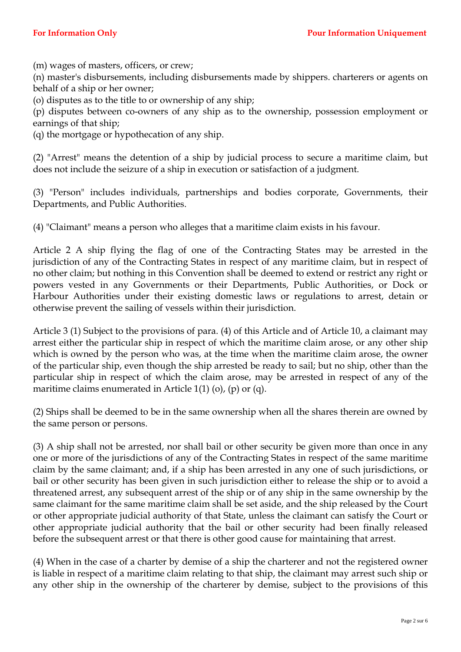(m) wages of masters, officers, or crew;

(n) master's disbursements, including disbursements made by shippers. charterers or agents on behalf of a ship or her owner;

(o) disputes as to the title to or ownership of any ship;

(p) disputes between co-owners of any ship as to the ownership, possession employment or earnings of that ship;

(q) the mortgage or hypothecation of any ship.

(2) "Arrest" means the detention of a ship by judicial process to secure a maritime claim, but does not include the seizure of a ship in execution or satisfaction of a judgment.

(3) "Person" includes individuals, partnerships and bodies corporate, Governments, their Departments, and Public Authorities.

(4) "Claimant" means a person who alleges that a maritime claim exists in his favour.

Article 2 A ship flying the flag of one of the Contracting States may be arrested in the jurisdiction of any of the Contracting States in respect of any maritime claim, but in respect of no other claim; but nothing in this Convention shall be deemed to extend or restrict any right or powers vested in any Governments or their Departments, Public Authorities, or Dock or Harbour Authorities under their existing domestic laws or regulations to arrest, detain or otherwise prevent the sailing of vessels within their jurisdiction.

Article 3 (1) Subject to the provisions of para. (4) of this Article and of Article 10, a claimant may arrest either the particular ship in respect of which the maritime claim arose, or any other ship which is owned by the person who was, at the time when the maritime claim arose, the owner of the particular ship, even though the ship arrested be ready to sail; but no ship, other than the particular ship in respect of which the claim arose, may be arrested in respect of any of the maritime claims enumerated in Article 1(1) (o), (p) or (q).

(2) Ships shall be deemed to be in the same ownership when all the shares therein are owned by the same person or persons.

(3) A ship shall not be arrested, nor shall bail or other security be given more than once in any one or more of the jurisdictions of any of the Contracting States in respect of the same maritime claim by the same claimant; and, if a ship has been arrested in any one of such jurisdictions, or bail or other security has been given in such jurisdiction either to release the ship or to avoid a threatened arrest, any subsequent arrest of the ship or of any ship in the same ownership by the same claimant for the same maritime claim shall be set aside, and the ship released by the Court or other appropriate judicial authority of that State, unless the claimant can satisfy the Court or other appropriate judicial authority that the bail or other security had been finally released before the subsequent arrest or that there is other good cause for maintaining that arrest.

(4) When in the case of a charter by demise of a ship the charterer and not the registered owner is liable in respect of a maritime claim relating to that ship, the claimant may arrest such ship or any other ship in the ownership of the charterer by demise, subject to the provisions of this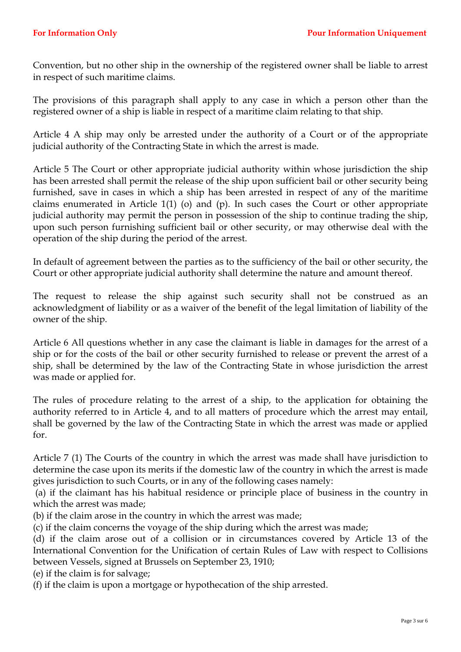Convention, but no other ship in the ownership of the registered owner shall be liable to arrest in respect of such maritime claims.

The provisions of this paragraph shall apply to any case in which a person other than the registered owner of a ship is liable in respect of a maritime claim relating to that ship.

Article 4 A ship may only be arrested under the authority of a Court or of the appropriate judicial authority of the Contracting State in which the arrest is made.

Article 5 The Court or other appropriate judicial authority within whose jurisdiction the ship has been arrested shall permit the release of the ship upon sufficient bail or other security being furnished, save in cases in which a ship has been arrested in respect of any of the maritime claims enumerated in Article 1(1) (o) and (p). In such cases the Court or other appropriate judicial authority may permit the person in possession of the ship to continue trading the ship, upon such person furnishing sufficient bail or other security, or may otherwise deal with the operation of the ship during the period of the arrest.

In default of agreement between the parties as to the sufficiency of the bail or other security, the Court or other appropriate judicial authority shall determine the nature and amount thereof.

The request to release the ship against such security shall not be construed as an acknowledgment of liability or as a waiver of the benefit of the legal limitation of liability of the owner of the ship.

Article 6 All questions whether in any case the claimant is liable in damages for the arrest of a ship or for the costs of the bail or other security furnished to release or prevent the arrest of a ship, shall be determined by the law of the Contracting State in whose jurisdiction the arrest was made or applied for.

The rules of procedure relating to the arrest of a ship, to the application for obtaining the authority referred to in Article 4, and to all matters of procedure which the arrest may entail, shall be governed by the law of the Contracting State in which the arrest was made or applied for.

Article 7 (1) The Courts of the country in which the arrest was made shall have jurisdiction to determine the case upon its merits if the domestic law of the country in which the arrest is made gives jurisdiction to such Courts, or in any of the following cases namely:

 (a) if the claimant has his habitual residence or principle place of business in the country in which the arrest was made;

(b) if the claim arose in the country in which the arrest was made;

(c) if the claim concerns the voyage of the ship during which the arrest was made;

(d) if the claim arose out of a collision or in circumstances covered by Article 13 of the International Convention for the Unification of certain Rules of Law with respect to Collisions between Vessels, signed at Brussels on September 23, 1910;

(e) if the claim is for salvage;

(f) if the claim is upon a mortgage or hypothecation of the ship arrested.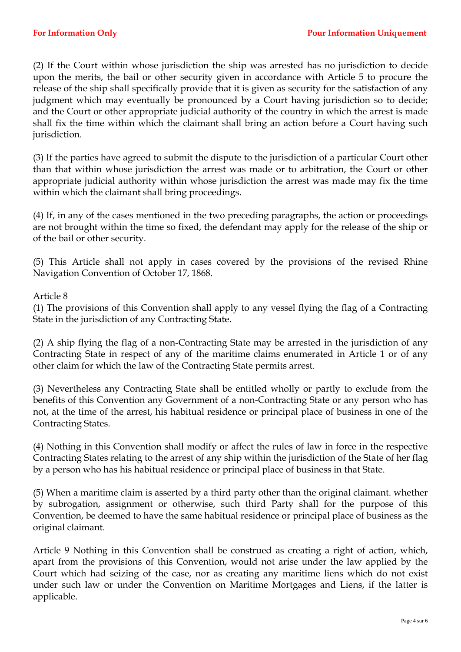(2) If the Court within whose jurisdiction the ship was arrested has no jurisdiction to decide upon the merits, the bail or other security given in accordance with Article 5 to procure the release of the ship shall specifically provide that it is given as security for the satisfaction of any judgment which may eventually be pronounced by a Court having jurisdiction so to decide; and the Court or other appropriate judicial authority of the country in which the arrest is made shall fix the time within which the claimant shall bring an action before a Court having such jurisdiction.

(3) If the parties have agreed to submit the dispute to the jurisdiction of a particular Court other than that within whose jurisdiction the arrest was made or to arbitration, the Court or other appropriate judicial authority within whose jurisdiction the arrest was made may fix the time within which the claimant shall bring proceedings.

(4) If, in any of the cases mentioned in the two preceding paragraphs, the action or proceedings are not brought within the time so fixed, the defendant may apply for the release of the ship or of the bail or other security.

(5) This Article shall not apply in cases covered by the provisions of the revised Rhine Navigation Convention of October 17, 1868.

## Article 8

(1) The provisions of this Convention shall apply to any vessel flying the flag of a Contracting State in the jurisdiction of any Contracting State.

(2) A ship flying the flag of a non-Contracting State may be arrested in the jurisdiction of any Contracting State in respect of any of the maritime claims enumerated in Article 1 or of any other claim for which the law of the Contracting State permits arrest.

(3) Nevertheless any Contracting State shall be entitled wholly or partly to exclude from the benefits of this Convention any Government of a non-Contracting State or any person who has not, at the time of the arrest, his habitual residence or principal place of business in one of the Contracting States.

(4) Nothing in this Convention shall modify or affect the rules of law in force in the respective Contracting States relating to the arrest of any ship within the jurisdiction of the State of her flag by a person who has his habitual residence or principal place of business in that State.

(5) When a maritime claim is asserted by a third party other than the original claimant. whether by subrogation, assignment or otherwise, such third Party shall for the purpose of this Convention, be deemed to have the same habitual residence or principal place of business as the original claimant.

Article 9 Nothing in this Convention shall be construed as creating a right of action, which, apart from the provisions of this Convention, would not arise under the law applied by the Court which had seizing of the case, nor as creating any maritime liens which do not exist under such law or under the Convention on Maritime Mortgages and Liens, if the latter is applicable.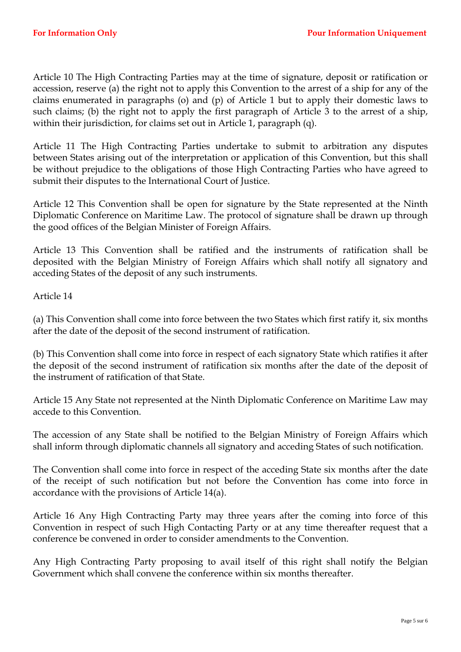Article 10 The High Contracting Parties may at the time of signature, deposit or ratification or accession, reserve (a) the right not to apply this Convention to the arrest of a ship for any of the claims enumerated in paragraphs (o) and (p) of Article 1 but to apply their domestic laws to such claims; (b) the right not to apply the first paragraph of Article 3 to the arrest of a ship, within their jurisdiction, for claims set out in Article 1, paragraph (q).

Article 11 The High Contracting Parties undertake to submit to arbitration any disputes between States arising out of the interpretation or application of this Convention, but this shall be without prejudice to the obligations of those High Contracting Parties who have agreed to submit their disputes to the International Court of Justice.

Article 12 This Convention shall be open for signature by the State represented at the Ninth Diplomatic Conference on Maritime Law. The protocol of signature shall be drawn up through the good offices of the Belgian Minister of Foreign Affairs.

Article 13 This Convention shall be ratified and the instruments of ratification shall be deposited with the Belgian Ministry of Foreign Affairs which shall notify all signatory and acceding States of the deposit of any such instruments.

Article 14

(a) This Convention shall come into force between the two States which first ratify it, six months after the date of the deposit of the second instrument of ratification.

(b) This Convention shall come into force in respect of each signatory State which ratifies it after the deposit of the second instrument of ratification six months after the date of the deposit of the instrument of ratification of that State.

Article 15 Any State not represented at the Ninth Diplomatic Conference on Maritime Law may accede to this Convention.

The accession of any State shall be notified to the Belgian Ministry of Foreign Affairs which shall inform through diplomatic channels all signatory and acceding States of such notification.

The Convention shall come into force in respect of the acceding State six months after the date of the receipt of such notification but not before the Convention has come into force in accordance with the provisions of Article 14(a).

Article 16 Any High Contracting Party may three years after the coming into force of this Convention in respect of such High Contacting Party or at any time thereafter request that a conference be convened in order to consider amendments to the Convention.

Any High Contracting Party proposing to avail itself of this right shall notify the Belgian Government which shall convene the conference within six months thereafter.